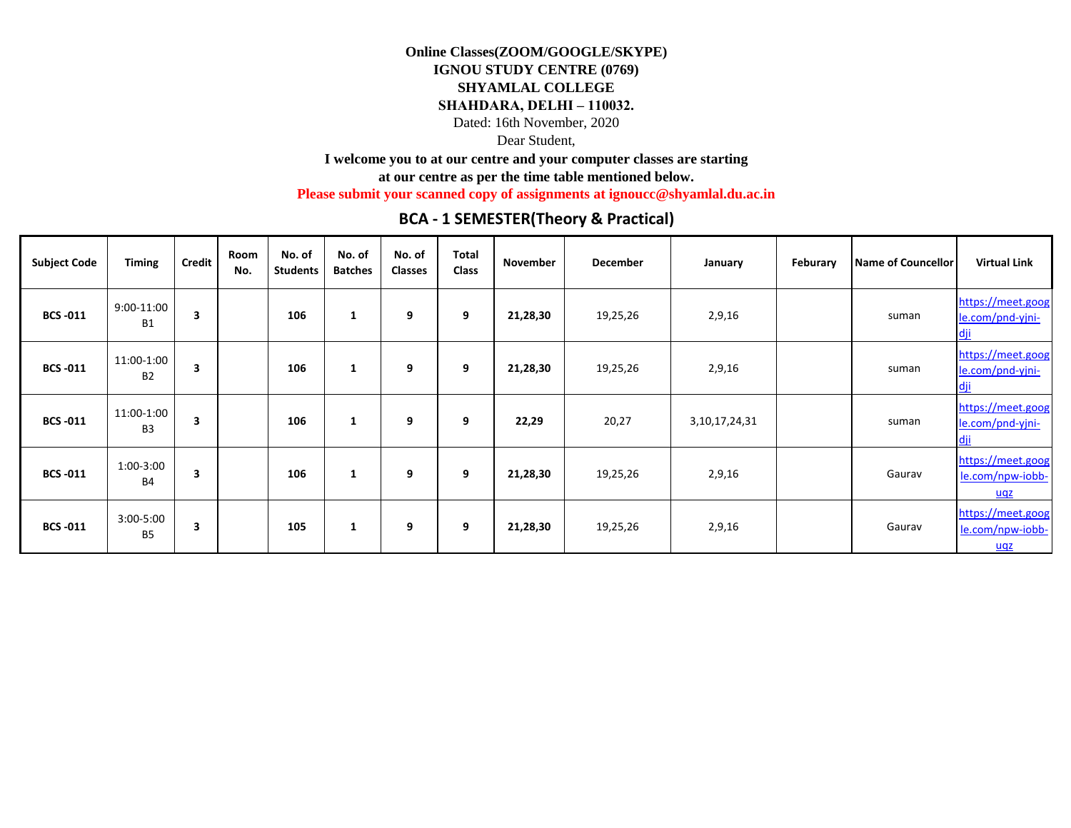## **IGNOU STUDY CENTRE (0769)**

## **SHYAMLAL COLLEGE**

## **SHAHDARA, DELHI – 110032.**

Dated: 16th November, 2020

## Dear Student,

**I welcome you to at our centre and your computer classes are starting** 

**at our centre as per the time table mentioned below.** 

**Please submit your scanned copy of assignments at ignoucc@shyamlal.du.ac.in**

## **BCA - 1 SEMESTER(Theory & Practical)**

| <b>Subject Code</b> | <b>Timing</b>                | <b>Credit</b> | Room<br>No. | No. of<br><b>Students</b> | No. of<br><b>Batches</b> | No. of<br><b>Classes</b> | <b>Total</b><br><b>Class</b> | <b>November</b> | <b>December</b> | January       | Feburary | <b>Name of Councellor</b> | <b>Virtual Link</b>                          |
|---------------------|------------------------------|---------------|-------------|---------------------------|--------------------------|--------------------------|------------------------------|-----------------|-----------------|---------------|----------|---------------------------|----------------------------------------------|
| <b>BCS-011</b>      | 9:00-11:00<br><b>B1</b>      | 3             |             | 106                       | 1                        | 9                        | 9                            | 21,28,30        | 19,25,26        | 2,9,16        |          | suman                     | https://meet.goog<br>le.com/pnd-yjni-<br>dji |
| <b>BCS-011</b>      | 11:00-1:00<br><b>B2</b>      | 3             |             | 106                       |                          | 9                        | 9                            | 21,28,30        | 19,25,26        | 2,9,16        |          | suman                     | https://meet.goog<br>le.com/pnd-yjni-<br>dji |
| <b>BCS-011</b>      | 11:00-1:00<br>B <sub>3</sub> | 3             |             | 106                       | 1                        | 9                        | 9                            | 22,29           | 20,27           | 3,10,17,24,31 |          | suman                     | https://meet.goog<br>le.com/pnd-yjni-<br>dji |
| <b>BCS-011</b>      | 1:00-3:00<br><b>B4</b>       | 3             |             | 106                       |                          | 9                        | 9                            | 21,28,30        | 19,25,26        | 2,9,16        |          | Gaurav                    | https://meet.goog<br>le.com/npw-iobb-<br>uqz |
| <b>BCS-011</b>      | 3:00-5:00<br><b>B5</b>       | 3             |             | 105                       | 1                        | 9                        | 9                            | 21,28,30        | 19,25,26        | 2,9,16        |          | Gaurav                    | https://meet.goog<br>le.com/npw-iobb-<br>uqz |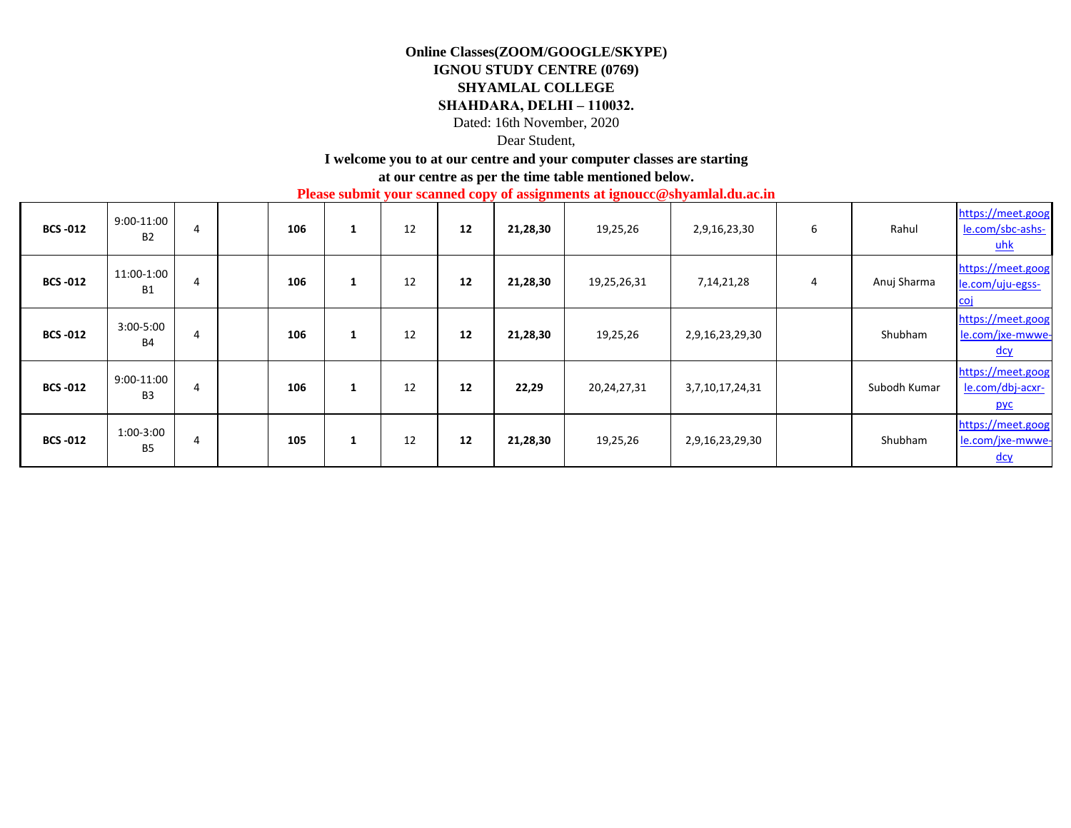## **IGNOU STUDY CENTRE (0769)**

## **SHYAMLAL COLLEGE**

## **SHAHDARA, DELHI – 110032.**

Dated: 16th November, 2020

## Dear Student,

## **I welcome you to at our centre and your computer classes are starting**

**at our centre as per the time table mentioned below.** 

**Please submit your scanned copy of assignments at ignoucc@shyamlal.du.ac.in**

| <b>BCS-012</b>  | 9:00-11:00<br><b>B2</b>      | 4 | 106 | $\mathbf{1}$ | 12 | 12 | 21,28,30 | 19,25,26    | 2,9,16,23,30    | 6 | Rahul        | https://meet.goog<br>le.com/sbc-ashs-<br>$uhk$      |
|-----------------|------------------------------|---|-----|--------------|----|----|----------|-------------|-----------------|---|--------------|-----------------------------------------------------|
| <b>BCS -012</b> | 11:00-1:00<br><b>B1</b>      | 4 | 106 | Ŧ.           | 12 | 12 | 21,28,30 | 19,25,26,31 | 7, 14, 21, 28   | 4 | Anuj Sharma  | https://meet.goog<br>le.com/uju-egss-<br><u>coi</u> |
| <b>BCS-012</b>  | $3:00 - 5:00$<br><b>B4</b>   | 4 | 106 | л.           | 12 | 12 | 21,28,30 | 19,25,26    | 2,9,16,23,29,30 |   | Shubham      | https://meet.goog<br>le.com/jxe-mwwe-<br>dcy        |
| <b>BCS-012</b>  | 9:00-11:00<br>B <sub>3</sub> | 4 | 106 | ш            | 12 | 12 | 22,29    | 20,24,27,31 | 3,7,10,17,24,31 |   | Subodh Kumar | https://meet.goog<br>le.com/dbj-acxr-<br><b>pyc</b> |
| <b>BCS -012</b> | 1:00-3:00<br><b>B5</b>       | 4 | 105 | $\mathbf{A}$ | 12 | 12 | 21,28,30 | 19,25,26    | 2,9,16,23,29,30 |   | Shubham      | https://meet.goog<br>le.com/jxe-mwwe-<br><u>dcy</u> |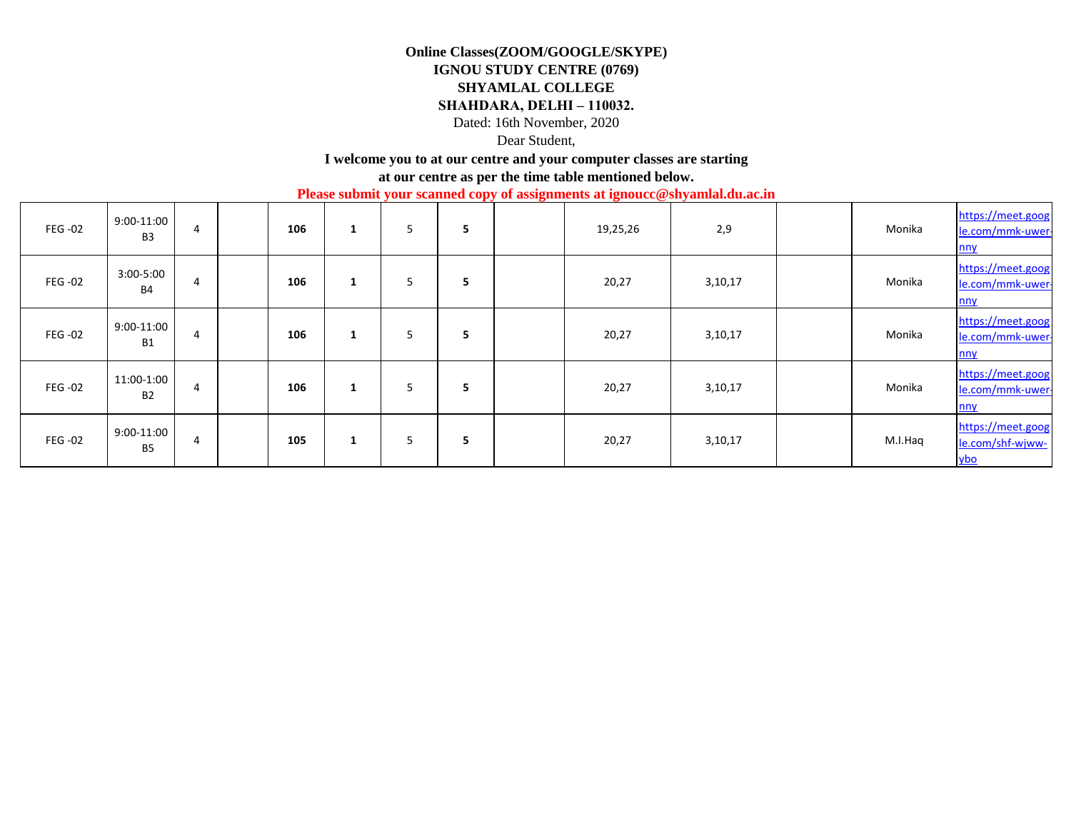## **IGNOU STUDY CENTRE (0769)**

## **SHYAMLAL COLLEGE**

#### **SHAHDARA, DELHI – 110032.**

Dated: 16th November, 2020

## Dear Student,

### **I welcome you to at our centre and your computer classes are starting**

**at our centre as per the time table mentioned below.** 

**Please submit your scanned copy of assignments at ignoucc@shyamlal.du.ac.in**

| <b>FEG -02</b> | $9:00-11:00$<br>B <sub>3</sub> | 4 | 106 | Ŧ. | 5 | 5 | 19,25,26 | 2,9     | Monika  | https://meet.goog<br>le.com/mmk-uwer-<br>nny        |
|----------------|--------------------------------|---|-----|----|---|---|----------|---------|---------|-----------------------------------------------------|
| <b>FEG -02</b> | $3:00 - 5:00$<br><b>B4</b>     | 4 | 106 | Ŧ. | 5 | 5 | 20,27    | 3,10,17 | Monika  | https://meet.goog<br>le.com/mmk-uwer-<br>nny        |
| FEG-02         | $9:00-11:00$<br><b>B1</b>      | 4 | 106 | 1  | 5 | 5 | 20,27    | 3,10,17 | Monika  | https://meet.goog<br>le.com/mmk-uwer-<br>nny        |
| <b>FEG -02</b> | 11:00-1:00<br><b>B2</b>        | 4 | 106 | 1  | 5 | 5 | 20,27    | 3,10,17 | Monika  | https://meet.goog<br>le.com/mmk-uwer-<br>nny        |
| <b>FEG-02</b>  | $9:00-11:00$<br><b>B5</b>      | 4 | 105 | 1  | 5 | 5 | 20,27    | 3,10,17 | M.I.Haq | https://meet.goog<br>le.com/shf-wjww-<br><u>ybo</u> |